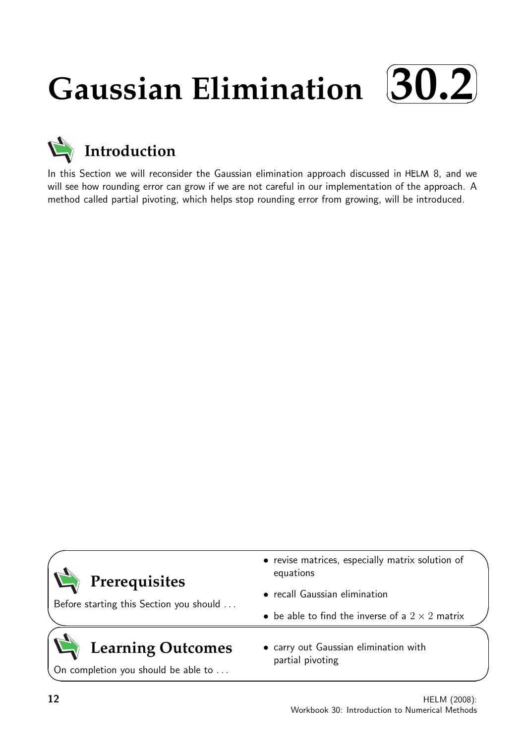## **Gaussian Elimination**  $\sqrt{2}$ ✒ **30.2**✑ ✏



In this Section we will reconsider the Gaussian elimination approach discussed in HELM 8, and we will see how rounding error can grow if we are not careful in our implementation of the approach. A method called partial pivoting, which helps stop rounding error from growing, will be introduced.

| Prerequisites                                                   | • revise matrices, especially matrix solution of<br>equations |  |  |  |  |  |  |
|-----------------------------------------------------------------|---------------------------------------------------------------|--|--|--|--|--|--|
| Before starting this Section you should                         | • recall Gaussian elimination                                 |  |  |  |  |  |  |
|                                                                 | • be able to find the inverse of a $2 \times 2$ matrix        |  |  |  |  |  |  |
| <b>Learning Outcomes</b><br>On completion you should be able to | • carry out Gaussian elimination with<br>partial pivoting     |  |  |  |  |  |  |

 $\overline{\phantom{0}}$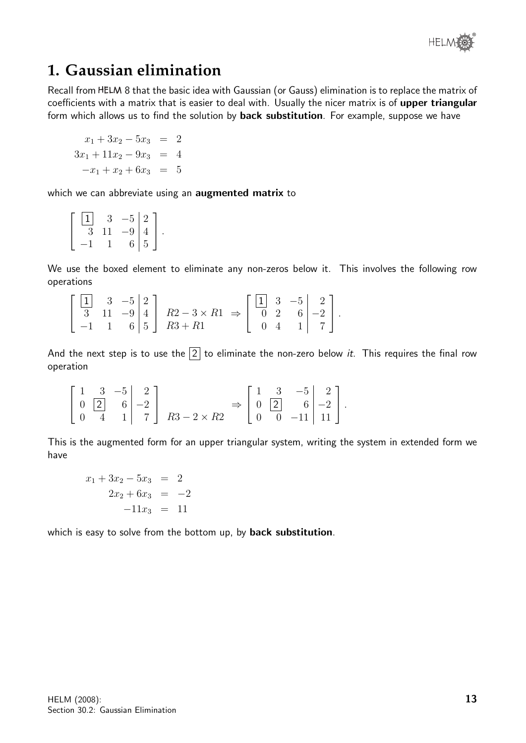

## **1. Gaussian elimination**

Recall from HELM 8 that the basic idea with Gaussian (or Gauss) elimination is to replace the matrix of coefficients with a matrix that is easier to deal with. Usually the nicer matrix is of upper triangular form which allows us to find the solution by **back substitution**. For example, suppose we have

$$
x_1 + 3x_2 - 5x_3 = 2
$$
  
\n
$$
3x_1 + 11x_2 - 9x_3 = 4
$$
  
\n
$$
-x_1 + x_2 + 6x_3 = 5
$$

which we can abbreviate using an **augmented matrix** to

| 1  | 3  | $\begin{bmatrix} -5 & 2 \\ -9 & 4 \\ 6 & 5 \end{bmatrix}$ |  |
|----|----|-----------------------------------------------------------|--|
| -3 | 11 | $-91$                                                     |  |
|    |    |                                                           |  |

We use the boxed element to eliminate any non-zeros below it. This involves the following row operations

| $\begin{bmatrix} 1 & 3 & -5 & 2 \end{bmatrix}$ |  |                                                                                              |  | $\begin{bmatrix} 1 & 3 & -5 & 2 \end{bmatrix}$ |  |
|------------------------------------------------|--|----------------------------------------------------------------------------------------------|--|------------------------------------------------|--|
|                                                |  | $\overline{3}$ 11 -9 4 $\overline{R2}$ - 3 $\times$ R1 $\Rightarrow$ $\overline{0}$ 2 6 -2 . |  |                                                |  |
|                                                |  | $\begin{bmatrix} -1 & 1 & 6 \end{bmatrix}$ 5   R3 + R1   0 4 1   7                           |  |                                                |  |

And the next step is to use the  $\boxed{2}$  to eliminate the non-zero below *it*. This requires the final row operation

$$
\begin{bmatrix} 1 & 3 & -5 & 2 \ 0 & 2 & 6 & -2 \ 0 & 4 & 1 & 7 \end{bmatrix} \xrightarrow{R3-2 \times R2} \Rightarrow \begin{bmatrix} 1 & 3 & -5 & 2 \ 0 & 2 & 6 & -2 \ 0 & 0 & -11 & 11 \end{bmatrix}.
$$

This is the augmented form for an upper triangular system, writing the system in extended form we have

$$
x_1 + 3x_2 - 5x_3 = 2
$$
  

$$
2x_2 + 6x_3 = -2
$$
  

$$
-11x_3 = 11
$$

which is easy to solve from the bottom up, by back substitution.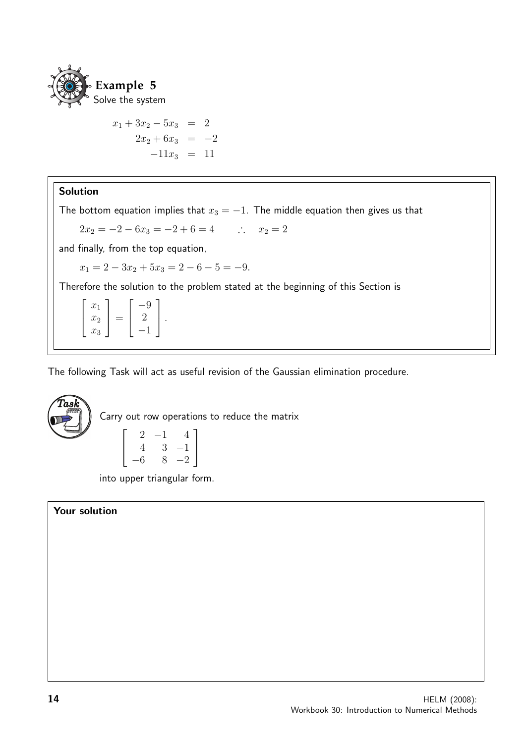

 $x_1 + 3x_2 - 5x_3 = 2$  $2x_2 + 6x_3 = -2$  $-11x_3 = 11$ 

## Solution

The bottom equation implies that  $x_3 = -1$ . The middle equation then gives us that

$$
2x_2 = -2 - 6x_3 = -2 + 6 = 4 \qquad \therefore \quad x_2 = 2
$$

and finally, from the top equation,

 $x_1 = 2 - 3x_2 + 5x_3 = 2 - 6 - 5 = -9.$ 

Therefore the solution to the problem stated at the beginning of this Section is

$$
\left[\begin{array}{c} x_1 \\ x_2 \\ x_3 \end{array}\right] = \left[\begin{array}{c} -9 \\ 2 \\ -1 \end{array}\right].
$$

The following Task will act as useful revision of the Gaussian elimination procedure.



Carry out row operations to reduce the matrix

$$
\left[\begin{array}{rrr} 2 & -1 & 4 \\ 4 & 3 & -1 \\ -6 & 8 & -2 \end{array}\right]
$$

into upper triangular form.

### Your solution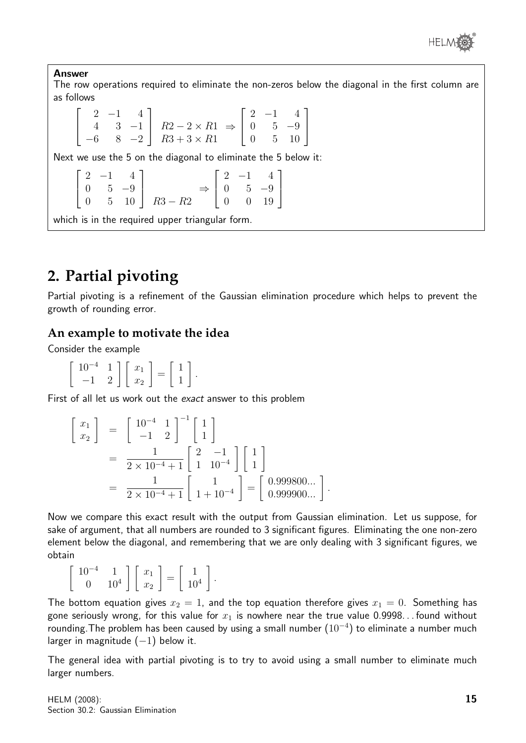

Answer

The row operations required to eliminate the non-zeros below the diagonal in the first column are as follows

 $\sqrt{ }$  $\overline{\phantom{a}}$  $2 -1 4$ 4 3 −1  $-6$  8  $-2$ 1  $\begin{array}{|c|c|c|c|}\n\hline\n & R2-2 \times R1 \\
\hline\n\text{De} & \text{De} & \text{De}\n\end{array}$  $R3 + 3 \times R1$ ⇒  $\sqrt{ }$  $\overline{\phantom{a}}$  $2 -1 4$ 0 5 −9 0 5 10 1  $\overline{1}$ Next we use the 5 on the diagonal to eliminate the 5 below it:  $\sqrt{ }$  $\vert$  $2 -1 4$ 0 5 −9 0 5 10 1  $\overline{1}$  $R3 - R2$ ⇒  $\sqrt{ }$  $\overline{\phantom{a}}$  $2 -1 4$ 0 5 −9 0 0 19 1  $\frac{1}{2}$ which is in the required upper triangular form.

# **2. Partial pivoting**

Partial pivoting is a refinement of the Gaussian elimination procedure which helps to prevent the growth of rounding error.

## **An example to motivate the idea**

Consider the example

 $\left[\begin{array}{cc} 10^{-4} & 1 \\ -1 & 2 \end{array}\right] \left[\begin{array}{c} x_1 \\ x_2 \end{array}\right]$ 1 =  $\lceil 1$ 1 1 .

First of all let us work out the exact answer to this problem

$$
\begin{bmatrix} x_1 \\ x_2 \end{bmatrix} = \begin{bmatrix} 10^{-4} & 1 \\ -1 & 2 \end{bmatrix}^{-1} \begin{bmatrix} 1 \\ 1 \end{bmatrix}
$$
  
= 
$$
\frac{1}{2 \times 10^{-4} + 1} \begin{bmatrix} 2 & -1 \\ 1 & 10^{-4} \end{bmatrix} \begin{bmatrix} 1 \\ 1 \end{bmatrix}
$$
  
= 
$$
\frac{1}{2 \times 10^{-4} + 1} \begin{bmatrix} 1 \\ 1 + 10^{-4} \end{bmatrix} = \begin{bmatrix} 0.999800... \\ 0.999900... \end{bmatrix}.
$$

Now we compare this exact result with the output from Gaussian elimination. Let us suppose, for sake of argument, that all numbers are rounded to 3 significant figures. Eliminating the one non-zero element below the diagonal, and remembering that we are only dealing with 3 significant figures, we obtain

 $\int 10^{-4}$  1  $0 \t 10^4$  $\left[\begin{array}{c}x_1\end{array}\right]$  $\overline{x_2}$ 1 =  $\begin{bmatrix} 1 \end{bmatrix}$  $10^{4}$ 1 .

The bottom equation gives  $x_2 = 1$ , and the top equation therefore gives  $x_1 = 0$ . Something has gone seriously wrong, for this value for  $x_1$  is nowhere near the true value 0.9998... found without rounding. The problem has been caused by using a small number  $(10^{-4})$  to eliminate a number much larger in magnitude  $(-1)$  below it.

The general idea with partial pivoting is to try to avoid using a small number to eliminate much larger numbers.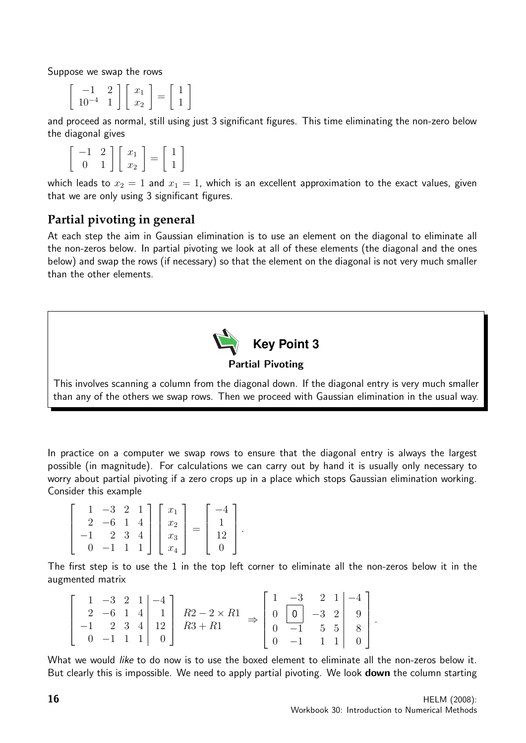Suppose we swap the rows

$$
\left[\begin{array}{cc} -1 & 2 \\ 10^{-4} & 1 \end{array}\right] \left[\begin{array}{c} x_1 \\ x_2 \end{array}\right] = \left[\begin{array}{c} 1 \\ 1 \end{array}\right]
$$

and proceed as normal, still using just 3 significant figures. This time eliminating the non-zero below the diagonal gives

$$
\left[\begin{array}{cc} -1 & 2 \\ 0 & 1 \end{array}\right] \left[\begin{array}{c} x_1 \\ x_2 \end{array}\right] = \left[\begin{array}{c} 1 \\ 1 \end{array}\right]
$$

which leads to  $x_2 = 1$  and  $x_1 = 1$ , which is an excellent approximation to the exact values, given that we are only using 3 significant figures.

## **Partial pivoting in general**

At each step the aim in Gaussian elimination is to use an element on the diagonal to eliminate all the non-zeros below. In partial pivoting we look at all of these elements (the diagonal and the ones below) and swap the rows (if necessary) so that the element on the diagonal is not very much smaller than the other elements.



## Partial Pivoting

This involves scanning a column from the diagonal down. If the diagonal entry is very much smaller than any of the others we swap rows. Then we proceed with Gaussian elimination in the usual way.

In practice on a computer we swap rows to ensure that the diagonal entry is always the largest possible (in magnitude). For calculations we can carry out by hand it is usually only necessary to worry about partial pivoting if a zero crops up in a place which stops Gaussian elimination working. Consider this example

$$
\begin{bmatrix} 1 & -3 & 2 & 1 \\ 2 & -6 & 1 & 4 \\ -1 & 2 & 3 & 4 \\ 0 & -1 & 1 & 1 \end{bmatrix} \begin{bmatrix} x_1 \\ x_2 \\ x_3 \\ x_4 \end{bmatrix} = \begin{bmatrix} -4 \\ 1 \\ 12 \\ 0 \end{bmatrix}.
$$

The first step is to use the 1 in the top left corner to eliminate all the non-zeros below it in the augmented matrix

|  |  | $1 -3 2 1 -4$ ]               |                                   |          |  | $\begin{bmatrix} 1 & -3 & 2 & 1 & -4 \end{bmatrix}$                                                       |  |
|--|--|-------------------------------|-----------------------------------|----------|--|-----------------------------------------------------------------------------------------------------------|--|
|  |  |                               | 2 -6 1 4   1   $R2 - 2 \times R1$ |          |  |                                                                                                           |  |
|  |  |                               | $-1$ 2 3 4 12 $R3 + R1$           |          |  | $\begin{array}{ c c c c c } \hline 0 & 0 & -3 & 2 & 9 \\ \hline 0 & -1 & 5 & 5 & 8 \\ \hline \end{array}$ |  |
|  |  | $0 \t -1 \t 1 \t 1 \t 0 \t 0$ |                                   | $-1$ 1 1 |  |                                                                                                           |  |

What we would like to do now is to use the boxed element to eliminate all the non-zeros below it. But clearly this is impossible. We need to apply partial pivoting. We look **down** the column starting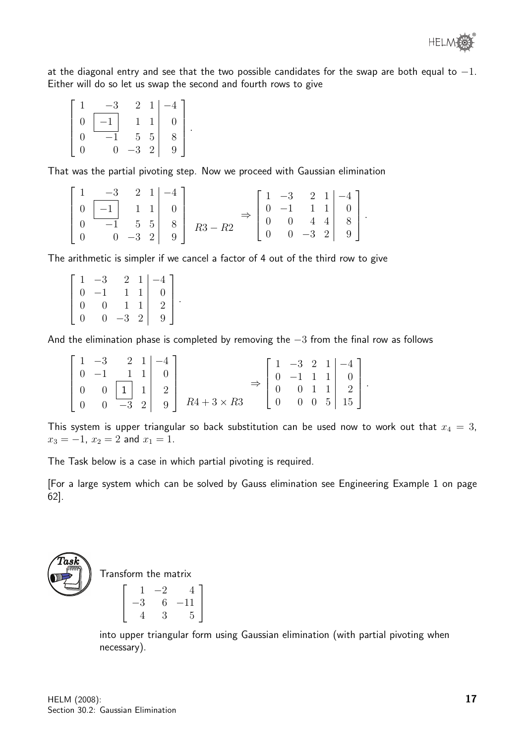

at the diagonal entry and see that the two possible candidates for the swap are both equal to  $-1$ . Either will do so let us swap the second and fourth rows to give

$$
\begin{bmatrix} 1 & -3 & 2 & 1 & -4 \ 0 & -1 & 1 & 1 & 0 \ 0 & -1 & 5 & 5 & 8 \ 0 & 0 & -3 & 2 & 9 \end{bmatrix}.
$$

That was the partial pivoting step. Now we proceed with Gaussian elimination

|  | $\begin{bmatrix} 1 & -3 & 2 & 1 & -4 \end{bmatrix}$                |  |                                                                                                                                                                                                                                            |  |  |  |
|--|--------------------------------------------------------------------|--|--------------------------------------------------------------------------------------------------------------------------------------------------------------------------------------------------------------------------------------------|--|--|--|
|  | $\begin{array}{ c c c c c } \hline 0 & -1 & 1 & 1 & 0 \end{array}$ |  |                                                                                                                                                                                                                                            |  |  |  |
|  |                                                                    |  | $\Rightarrow \left[\begin{array}{rrrrr} 1 & -3 & 2 & 1 & -4 \\ 0 & -1 & 1 & 1 & 0 \\ 0 & 0 & 4 & 4 & 8 \\ 0 & 0 & -3 & 2 & 9 \end{array}\right].$<br>$\begin{array}{ c c c c c c } \hline 0 & -1 & 5 & 5 & 8 & R3-R2 \ \hline \end{array}$ |  |  |  |
|  | $\begin{bmatrix} 0 & 0 & -3 & 2 & 9 \end{bmatrix}$                 |  |                                                                                                                                                                                                                                            |  |  |  |

The arithmetic is simpler if we cancel a factor of 4 out of the third row to give

| 1                | $-3$         |              | $2 \quad 1 \mid$ | $\begin{bmatrix} -4 \\ 0 \end{bmatrix}$ |
|------------------|--------------|--------------|------------------|-----------------------------------------|
| $\Omega$         | $-1$         | $\mathbf{1}$ |                  |                                         |
| $\left( \right)$ | $\mathbf{0}$ | 1            |                  | $\overline{2}$                          |
| 0                | $\theta$     | $-3\quad2$   |                  | $\overline{9}$                          |

And the elimination phase is completed by removing the  $-3$  from the final row as follows

|  |  | $\begin{bmatrix} 1 & -3 & 2 & 1 & -4 \end{bmatrix}$ |                                                                                                                      |  |  |                                                                                                                                                    |  |
|--|--|-----------------------------------------------------|----------------------------------------------------------------------------------------------------------------------|--|--|----------------------------------------------------------------------------------------------------------------------------------------------------|--|
|  |  | $\begin{bmatrix} 0 & -1 & 1 & 1 \end{bmatrix}$      |                                                                                                                      |  |  |                                                                                                                                                    |  |
|  |  |                                                     | $\left[\begin{array}{ccc c} 0 & 0 & 1 & 1 & 2 \\ 0 & 0 & -3 & 2 & 9 \end{array}\right] \xrightarrow{R4+3 \times R3}$ |  |  | $\Rightarrow \left[\begin{array}{cccc c} 1 & -3 & 2 & 1 & -4 \\ 0 & -1 & 1 & 1 & 0 \\ 0 & 0 & 1 & 1 & 2 \\ 0 & 0 & 0 & 5 & 15 \end{array}\right].$ |  |
|  |  |                                                     |                                                                                                                      |  |  |                                                                                                                                                    |  |

This system is upper triangular so back substitution can be used now to work out that  $x_4 = 3$ ,  $x_3 = -1$ ,  $x_2 = 2$  and  $x_1 = 1$ .

The Task below is a case in which partial pivoting is required.

.

[For a large system which can be solved by Gauss elimination see Engineering Example 1 on page 62].



Transform the matrix

$$
\left[\begin{array}{rrr} 1 & -2 & 4 \\ -3 & 6 & -11 \\ 4 & 3 & 5 \end{array}\right]
$$

into upper triangular form using Gaussian elimination (with partial pivoting when necessary).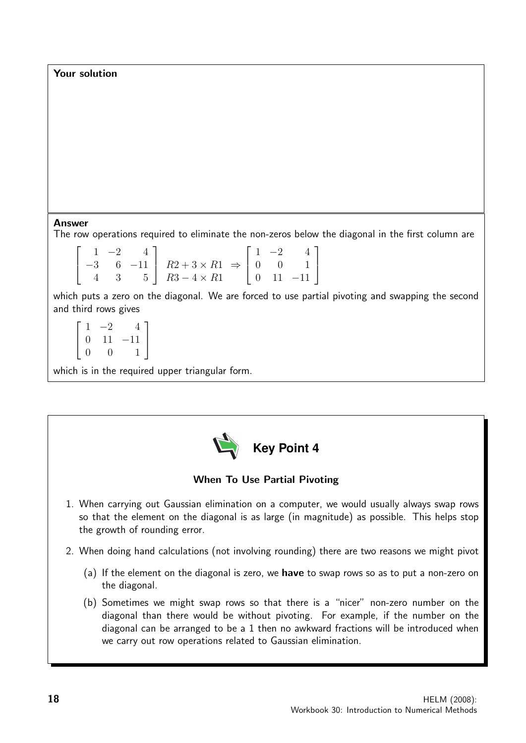Your solution

#### Answer

The row operations required to eliminate the non-zeros below the diagonal in the first column are

|  |  | $\begin{bmatrix} 1 & -2 & 4 \\ -3 & 6 & -11 \\ 4 & 3 & 5 \end{bmatrix}$ $R2 + 3 \times R1 \Rightarrow \begin{bmatrix} 1 & -2 & 4 \\ 0 & 0 & 1 \\ 0 & 11 & -11 \end{bmatrix}$ |  |  |
|--|--|------------------------------------------------------------------------------------------------------------------------------------------------------------------------------|--|--|

which puts a zero on the diagonal. We are forced to use partial pivoting and swapping the second and third rows gives

 $\sqrt{ }$  $\vert$  $1 -2 4$ 0 11 −11 0 0 1 1  $\frac{1}{2}$ 

which is in the required upper triangular form.



## When To Use Partial Pivoting

- 1. When carrying out Gaussian elimination on a computer, we would usually always swap rows so that the element on the diagonal is as large (in magnitude) as possible. This helps stop the growth of rounding error.
- 2. When doing hand calculations (not involving rounding) there are two reasons we might pivot
	- (a) If the element on the diagonal is zero, we have to swap rows so as to put a non-zero on the diagonal.
	- (b) Sometimes we might swap rows so that there is a "nicer" non-zero number on the diagonal than there would be without pivoting. For example, if the number on the diagonal can be arranged to be a 1 then no awkward fractions will be introduced when we carry out row operations related to Gaussian elimination.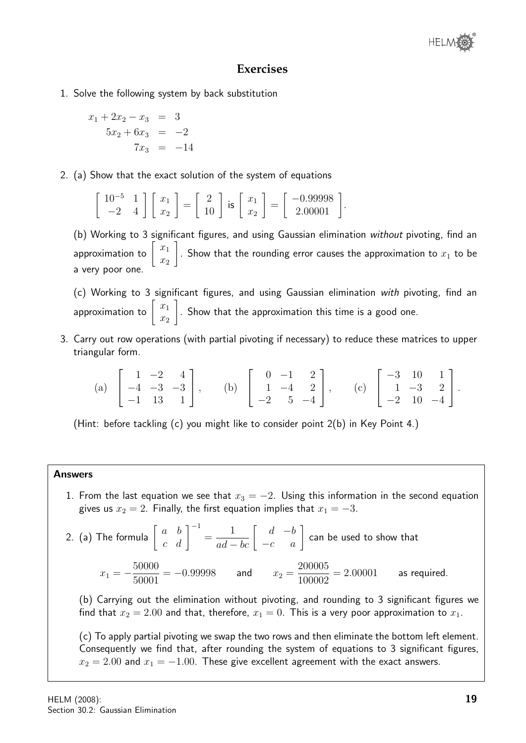

## **Exercises**

1. Solve the following system by back substitution

$$
x_1 + 2x_2 - x_3 = 3
$$
  

$$
5x_2 + 6x_3 = -2
$$
  

$$
7x_3 = -14
$$

2. (a) Show that the exact solution of the system of equations

$$
\left[\begin{array}{cc} 10^{-5} & 1 \\ -2 & 4 \end{array}\right] \left[\begin{array}{c} x_1 \\ x_2 \end{array}\right] = \left[\begin{array}{c} 2 \\ 10 \end{array}\right] \text{ is } \left[\begin{array}{c} x_1 \\ x_2 \end{array}\right] = \left[\begin{array}{c} -0.99998 \\ 2.00001 \end{array}\right].
$$

(b) Working to 3 significant figures, and using Gaussian elimination without pivoting, find an approximation to  $\left[\begin{array}{c} x_1 \end{array}\right]$  $\overline{x_2}$ 1 . Show that the rounding error causes the approximation to  $x_1$  to be a very poor one.

(c) Working to 3 significant figures, and using Gaussian elimination with pivoting, find an approximation to  $\left[\begin{array}{c} x_1 \end{array}\right]$  $\overline{x_2}$ 1 . Show that the approximation this time is a good one.

3. Carry out row operations (with partial pivoting if necessary) to reduce these matrices to upper triangular form.

(a) 
$$
\begin{bmatrix} 1 & -2 & 4 \\ -4 & -3 & -3 \\ -1 & 13 & 1 \end{bmatrix}
$$
, (b)  $\begin{bmatrix} 0 & -1 & 2 \\ 1 & -4 & 2 \\ -2 & 5 & -4 \end{bmatrix}$ , (c)  $\begin{bmatrix} -3 & 10 & 1 \\ 1 & -3 & 2 \\ -2 & 10 & -4 \end{bmatrix}$ .

(Hint: before tackling (c) you might like to consider point 2(b) in Key Point 4.)

#### Answers

1. From the last equation we see that  $x_3 = -2$ . Using this information in the second equation gives us  $x_2 = 2$ . Finally, the first equation implies that  $x_1 = -3$ .

2. (a) The formula 
$$
\begin{bmatrix} a & b \\ c & d \end{bmatrix}^{-1} = \frac{1}{ad - bc} \begin{bmatrix} d & -b \\ -c & a \end{bmatrix}
$$
 can be used to show that  
 $x_1 = -\frac{50000}{50001} = -0.99998$  and  $x_2 = \frac{200005}{100002} = 2.00001$  as required.

(b) Carrying out the elimination without pivoting, and rounding to 3 significant figures we find that  $x_2 = 2.00$  and that, therefore,  $x_1 = 0$ . This is a very poor approximation to  $x_1$ .

(c) To apply partial pivoting we swap the two rows and then eliminate the bottom left element. Consequently we find that, after rounding the system of equations to 3 significant figures,  $x_2 = 2.00$  and  $x_1 = -1.00$ . These give excellent agreement with the exact answers.